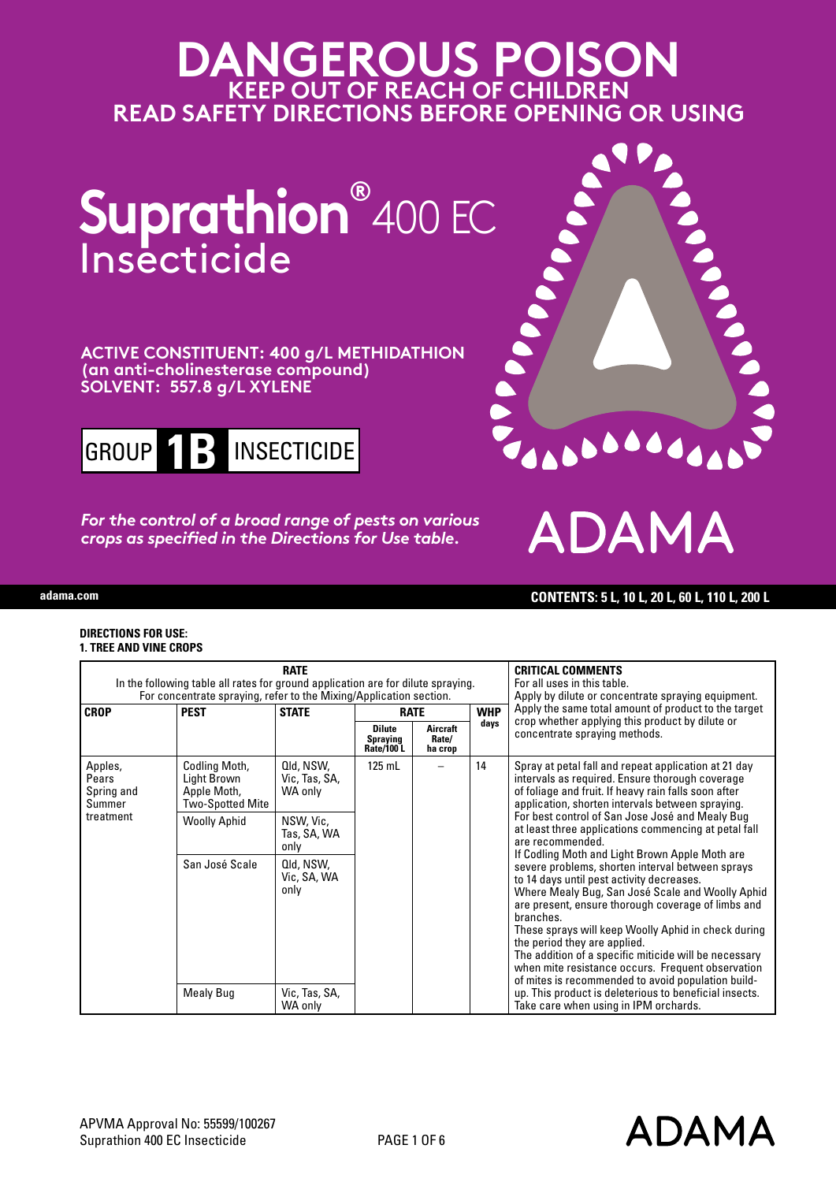# **DANGEROUS POISON KEEP OUT OF REACH OF CHILDREN READ SAFETY DIRECTIONS BEFORE OPENING OR USING**



## **ACTIVE CONSTITUENT: 400 g/L METHIDATHION (an anti-cholinesterase compound) SOLVENT: 557.8 g/L XYLENE**



*For the control of a broad range of pests on various crops as specified in the Directions for Use table.*



ADA

**adama.com CONTENTS: 5 L, 10 L, 20 L, 60 L, 110 L, 200 L**

#### **DIRECTIONS FOR USE: 1. TREE AND VINE CROPS**

|                                                       | In the following table all rates for ground application are for dilute spraying.<br>For concentrate spraying, refer to the Mixing/Application section. | <b>CRITICAL COMMENTS</b><br>For all uses in this table.<br>Apply by dilute or concentrate spraying equipment. |                                               |                              |                                                                                                                                                       |                                                                                                                                                                                                                                                                                                                                                                                                                                                                                                                                                                                                                                                                                                                                                                                                                                   |
|-------------------------------------------------------|--------------------------------------------------------------------------------------------------------------------------------------------------------|---------------------------------------------------------------------------------------------------------------|-----------------------------------------------|------------------------------|-------------------------------------------------------------------------------------------------------------------------------------------------------|-----------------------------------------------------------------------------------------------------------------------------------------------------------------------------------------------------------------------------------------------------------------------------------------------------------------------------------------------------------------------------------------------------------------------------------------------------------------------------------------------------------------------------------------------------------------------------------------------------------------------------------------------------------------------------------------------------------------------------------------------------------------------------------------------------------------------------------|
| <b>CROP</b>                                           | <b>PEST</b>                                                                                                                                            | <b>STATE</b>                                                                                                  |                                               | <b>RATE</b>                  |                                                                                                                                                       | Apply the same total amount of product to the target<br>crop whether applying this product by dilute or                                                                                                                                                                                                                                                                                                                                                                                                                                                                                                                                                                                                                                                                                                                           |
|                                                       |                                                                                                                                                        |                                                                                                               | <b>Dilute</b><br><b>Spraying</b><br>Rate/100L | Aircraft<br>Rate/<br>ha crop | days                                                                                                                                                  | concentrate spraying methods.                                                                                                                                                                                                                                                                                                                                                                                                                                                                                                                                                                                                                                                                                                                                                                                                     |
| Apples,<br>Pears<br>Spring and<br>Summer<br>treatment | Codling Moth,<br>Light Brown<br>Apple Moth,<br>Two-Spotted Mite                                                                                        | Qld, NSW,<br>Vic, Tas, SA,<br>WA only                                                                         | $125$ mL                                      |                              | 14                                                                                                                                                    | Spray at petal fall and repeat application at 21 day<br>intervals as required. Ensure thorough coverage<br>of foliage and fruit. If heavy rain falls soon after<br>application, shorten intervals between spraying.<br>For best control of San Jose José and Mealy Bug<br>at least three applications commencing at petal fall<br>are recommended.<br>If Codling Moth and Light Brown Apple Moth are<br>severe problems, shorten interval between sprays<br>to 14 days until pest activity decreases.<br>Where Mealy Bug, San José Scale and Woolly Aphid<br>are present, ensure thorough coverage of limbs and<br>hranches.<br>These sprays will keep Woolly Aphid in check during<br>the period they are applied.<br>The addition of a specific miticide will be necessary<br>when mite resistance occurs. Frequent observation |
|                                                       | <b>Woolly Aphid</b>                                                                                                                                    | NSW, Vic,<br>Tas, SA, WA<br>only                                                                              |                                               |                              |                                                                                                                                                       |                                                                                                                                                                                                                                                                                                                                                                                                                                                                                                                                                                                                                                                                                                                                                                                                                                   |
|                                                       | San José Scale                                                                                                                                         | Qld, NSW,<br>Vic, SA, WA<br>only<br>Vic, Tas, SA,<br>WA only                                                  |                                               |                              |                                                                                                                                                       |                                                                                                                                                                                                                                                                                                                                                                                                                                                                                                                                                                                                                                                                                                                                                                                                                                   |
|                                                       | Mealy Bug                                                                                                                                              |                                                                                                               |                                               |                              | of mites is recommended to avoid population build-<br>up. This product is deleterious to beneficial insects.<br>Take care when using in IPM orchards. |                                                                                                                                                                                                                                                                                                                                                                                                                                                                                                                                                                                                                                                                                                                                                                                                                                   |

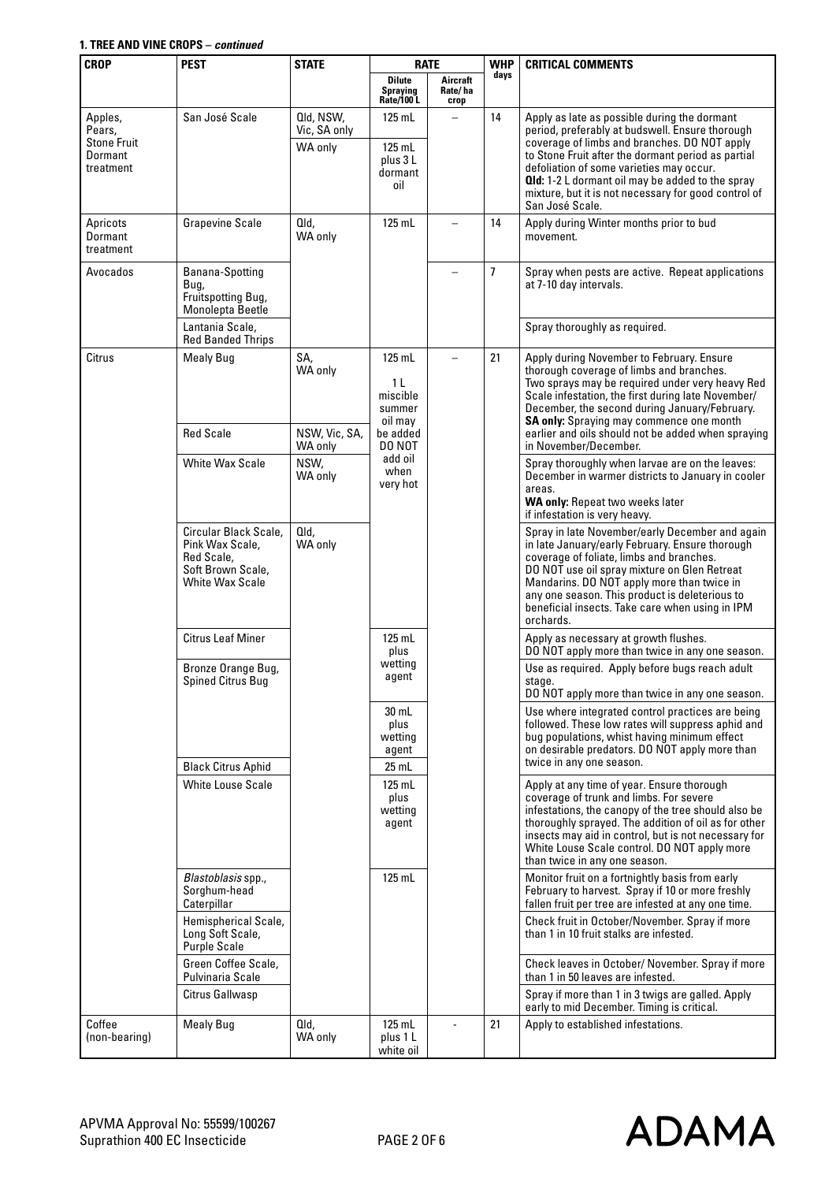| <b>CROP</b>                                                     | <b>PEST</b>                                                                                           | <b>STATE</b>                         |                                                         | <b>RATE</b>                 |                | <b>WHP</b>                                                                                                                                                                                                                                                                                                                                                                              |  | <b>CRITICAL COMMENTS</b> |
|-----------------------------------------------------------------|-------------------------------------------------------------------------------------------------------|--------------------------------------|---------------------------------------------------------|-----------------------------|----------------|-----------------------------------------------------------------------------------------------------------------------------------------------------------------------------------------------------------------------------------------------------------------------------------------------------------------------------------------------------------------------------------------|--|--------------------------|
|                                                                 |                                                                                                       |                                      | <b>Dilute</b><br>Spraying<br>Rate/100 L                 | Aircraft<br>Rate/ha<br>crop | days           |                                                                                                                                                                                                                                                                                                                                                                                         |  |                          |
| Apples,<br>Pears,<br><b>Stone Fruit</b><br>Dormant<br>treatment | San José Scale                                                                                        | Qld, NSW,<br>Vic, SA only<br>WA only | 125 mL<br>$125$ mL<br>plus 3L<br>dormant<br>oil         |                             | 14             | Apply as late as possible during the dormant<br>period, preferably at budswell. Ensure thorough<br>coverage of limbs and branches. DO NOT apply<br>to Stone Fruit after the dormant period as partial<br>defoliation of some varieties may occur.<br><b>Qld:</b> 1-2 L dormant oil may be added to the spray<br>mixture, but it is not necessary for good control of<br>San José Scale. |  |                          |
| Apricots<br>Dormant<br>treatment                                | <b>Grapevine Scale</b>                                                                                | Qld,<br>WA only                      | $125$ mL                                                |                             | 14             | Apply during Winter months prior to bud<br>movement.                                                                                                                                                                                                                                                                                                                                    |  |                          |
| Avocados                                                        | Banana-Spotting<br>Bug,<br>Fruitspotting Bug,<br>Monolepta Beetle<br>Lantania Scale,                  |                                      |                                                         | $\overline{\phantom{m}}$    | $\overline{1}$ | Spray when pests are active. Repeat applications<br>at 7-10 day intervals.                                                                                                                                                                                                                                                                                                              |  |                          |
|                                                                 | <b>Red Banded Thrips</b>                                                                              |                                      |                                                         |                             |                | Spray thoroughly as required.                                                                                                                                                                                                                                                                                                                                                           |  |                          |
| Citrus                                                          | <b>Mealy Bug</b>                                                                                      | SA,<br>WA only                       | 125 mL<br>1 L<br>miscible<br>summer<br>oil may          |                             | 21             | Apply during November to February. Ensure<br>thorough coverage of limbs and branches.<br>Two sprays may be required under very heavy Red<br>Scale infestation, the first during late November/<br>December, the second during January/February.<br><b>SA only:</b> Spraying may commence one month                                                                                      |  |                          |
|                                                                 | <b>Red Scale</b>                                                                                      | NSW, Vic, SA,<br>WA only             | be added<br>DO NOT                                      |                             |                | earlier and oils should not be added when spraying<br>in November/December.                                                                                                                                                                                                                                                                                                             |  |                          |
|                                                                 | <b>White Wax Scale</b>                                                                                | NSW,<br>WA only                      | add oil<br>when<br>very hot                             |                             |                | Spray thoroughly when larvae are on the leaves:<br>December in warmer districts to January in cooler<br>areas.<br>WA only: Repeat two weeks later<br>if infestation is very heavy.                                                                                                                                                                                                      |  |                          |
|                                                                 | Circular Black Scale,<br>Pink Wax Scale,<br>Red Scale,<br>Soft Brown Scale,<br><b>White Wax Scale</b> | Qld,<br>WA only                      |                                                         |                             |                | Spray in late November/early December and again<br>in late January/early February. Ensure thorough<br>coverage of foliate, limbs and branches.<br>DO NOT use oil spray mixture on Glen Retreat<br>Mandarins. DO NOT apply more than twice in<br>any one season. This product is deleterious to<br>beneficial insects. Take care when using in IPM<br>orchards.                          |  |                          |
|                                                                 | <b>Citrus Leaf Miner</b>                                                                              |                                      | 125 mL<br>plus                                          |                             |                | Apply as necessary at growth flushes.<br>DO NOT apply more than twice in any one season.                                                                                                                                                                                                                                                                                                |  |                          |
|                                                                 | Bronze Orange Bug,<br><b>Spined Citrus Bug</b>                                                        |                                      | wetting<br>agent<br>$30$ mL<br>plus<br>wetting<br>agent |                             |                | Use as required. Apply before bugs reach adult<br>stage.<br>DO NOT apply more than twice in any one season.                                                                                                                                                                                                                                                                             |  |                          |
|                                                                 |                                                                                                       |                                      |                                                         |                             |                | Use where integrated control practices are being<br>followed. These low rates will suppress aphid and<br>bug populations, whist having minimum effect<br>on desirable predators. DO NOT apply more than                                                                                                                                                                                 |  |                          |
|                                                                 | <b>Black Citrus Aphid</b>                                                                             |                                      | $25$ mL                                                 |                             |                | twice in any one season.                                                                                                                                                                                                                                                                                                                                                                |  |                          |
|                                                                 | <b>White Louse Scale</b>                                                                              |                                      | $125$ mL<br>plus<br>wetting<br>agent                    |                             |                | Apply at any time of year. Ensure thorough<br>coverage of trunk and limbs. For severe<br>infestations, the canopy of the tree should also be<br>thoroughly sprayed. The addition of oil as for other<br>insects may aid in control, but is not necessary for<br>White Louse Scale control. DO NOT apply more<br>than twice in any one season.                                           |  |                          |
|                                                                 | Blastoblasis spp.,<br>Sorghum-head<br>Caterpillar                                                     |                                      | $125$ mL                                                |                             |                | Monitor fruit on a fortnightly basis from early<br>February to harvest. Spray if 10 or more freshly<br>fallen fruit per tree are infested at any one time.                                                                                                                                                                                                                              |  |                          |
|                                                                 | Hemispherical Scale,<br>Long Soft Scale,<br><b>Purple Scale</b>                                       |                                      |                                                         |                             |                | Check fruit in October/November. Spray if more<br>than 1 in 10 fruit stalks are infested.                                                                                                                                                                                                                                                                                               |  |                          |
|                                                                 | Green Coffee Scale,<br>Pulvinaria Scale                                                               |                                      |                                                         |                             |                | Check leaves in October/ November. Spray if more<br>than 1 in 50 leaves are infested.                                                                                                                                                                                                                                                                                                   |  |                          |
|                                                                 | Citrus Gallwasp                                                                                       |                                      |                                                         |                             |                | Spray if more than 1 in 3 twigs are galled. Apply<br>early to mid December. Timing is critical.                                                                                                                                                                                                                                                                                         |  |                          |
| Coffee<br>(non-bearing)                                         | <b>Mealy Bug</b>                                                                                      | Qld,<br>WA only                      | $125$ mL<br>plus 1 L<br>white oil                       |                             | 21             | Apply to established infestations.                                                                                                                                                                                                                                                                                                                                                      |  |                          |

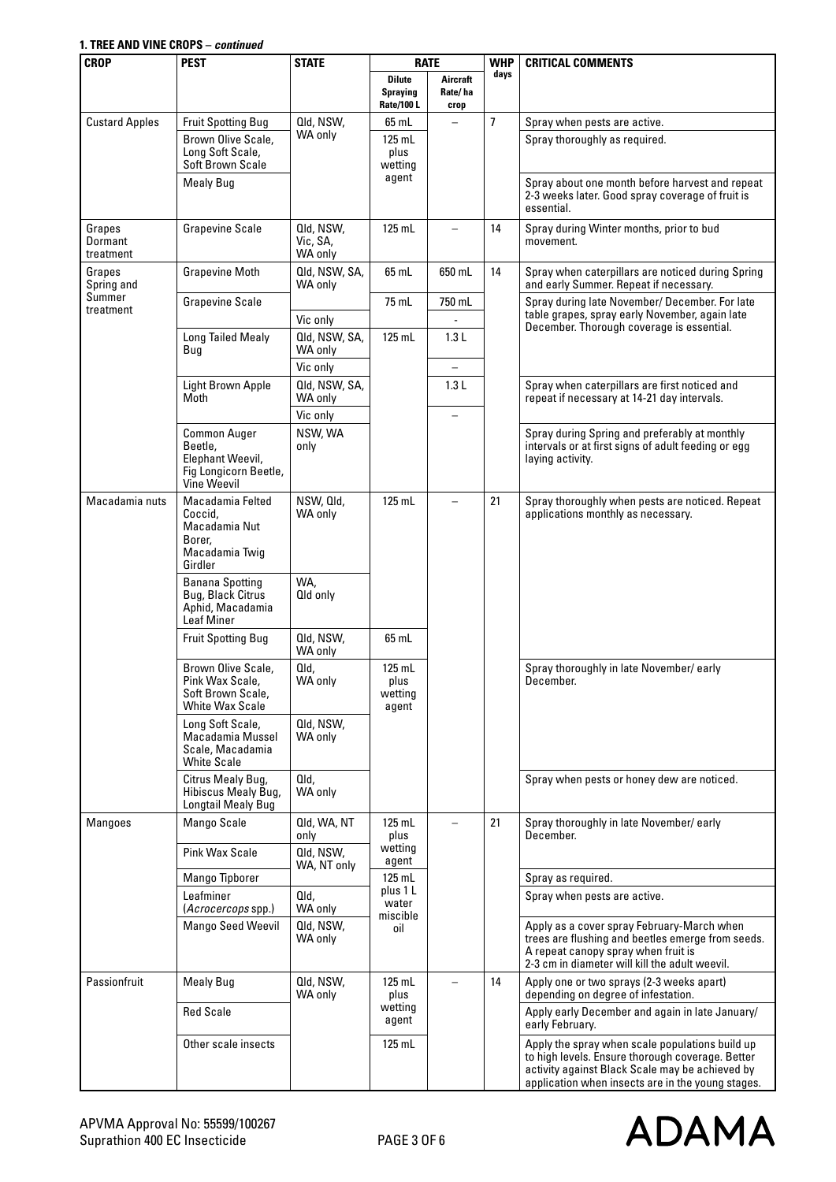| <b>CROP</b>                    | <b>PEST</b><br><b>STATE</b><br><b>RATE</b>                                                        |                                  | <b>WHP</b>                                            | <b>CRITICAL COMMENTS</b>    |                |                                                                                                                                                                                                             |
|--------------------------------|---------------------------------------------------------------------------------------------------|----------------------------------|-------------------------------------------------------|-----------------------------|----------------|-------------------------------------------------------------------------------------------------------------------------------------------------------------------------------------------------------------|
|                                |                                                                                                   |                                  | <b>Dilute</b><br><b>Spraying</b><br><b>Rate/100 L</b> | Aircraft<br>Rate/ha<br>crop | days           |                                                                                                                                                                                                             |
| <b>Custard Apples</b>          | <b>Fruit Spotting Bug</b>                                                                         | Qld, NSW,                        | 65 mL                                                 |                             | $\overline{7}$ | Spray when pests are active.                                                                                                                                                                                |
|                                | Brown Olive Scale,<br>Long Soft Scale,<br><b>Soft Brown Scale</b>                                 | WA only                          | $125$ mL<br>plus<br>wetting                           |                             |                | Spray thoroughly as required.                                                                                                                                                                               |
|                                | <b>Mealy Bug</b>                                                                                  |                                  | agent                                                 |                             |                | Spray about one month before harvest and repeat<br>2-3 weeks later. Good spray coverage of fruit is<br>essential.                                                                                           |
| Grapes<br>Dormant<br>treatment | <b>Grapevine Scale</b>                                                                            | Qld, NSW,<br>Vic, SA,<br>WA only | $125$ mL                                              |                             | 14             | Spray during Winter months, prior to bud<br>movement.                                                                                                                                                       |
| Grapes<br>Spring and           | <b>Grapevine Moth</b>                                                                             | Qld, NSW, SA,<br>WA only         | 65 mL                                                 | 650 mL                      | 14             | Spray when caterpillars are noticed during Spring<br>and early Summer. Repeat if necessary.                                                                                                                 |
| Summer<br>treatment            | <b>Grapevine Scale</b>                                                                            |                                  | 75 mL                                                 | 750 mL                      |                | Spray during late November/ December. For late                                                                                                                                                              |
|                                |                                                                                                   | Vic only                         |                                                       |                             |                | table grapes, spray early November, again late<br>December. Thorough coverage is essential.                                                                                                                 |
|                                | <b>Long Tailed Mealy</b><br>Bug                                                                   | Qld, NSW, SA,<br>WA only         | $125$ mL                                              | 1.3L                        |                |                                                                                                                                                                                                             |
|                                |                                                                                                   | Vic only                         |                                                       | $\qquad \qquad -$           |                |                                                                                                                                                                                                             |
|                                | Light Brown Apple<br>Moth                                                                         | Qld, NSW, SA,<br>WA only         |                                                       | 1.3L                        |                | Spray when caterpillars are first noticed and<br>repeat if necessary at 14-21 day intervals.                                                                                                                |
|                                |                                                                                                   | Vic only                         |                                                       | $\overline{\phantom{0}}$    |                |                                                                                                                                                                                                             |
|                                | <b>Common Auger</b><br>Beetle,<br>Elephant Weevil.<br>Fig Longicorn Beetle,<br><b>Vine Weevil</b> | NSW, WA<br>only                  |                                                       |                             |                | Spray during Spring and preferably at monthly<br>intervals or at first signs of adult feeding or egg<br>laying activity.                                                                                    |
| Macadamia nuts                 | Macadamia Felted<br>Coccid.<br>Macadamia Nut<br>Borer,<br>Macadamia Twig<br>Girdler               | NSW, Qld,<br>WA only             | $125$ mL                                              | $\overline{\phantom{0}}$    | 21             | Spray thoroughly when pests are noticed. Repeat<br>applications monthly as necessary.                                                                                                                       |
|                                | <b>Banana Spotting</b><br>Bug, Black Citrus<br>Aphid, Macadamia<br><b>Leaf Miner</b>              | WA,<br>Qld only                  |                                                       |                             |                |                                                                                                                                                                                                             |
|                                | <b>Fruit Spotting Bug</b>                                                                         | Qld, NSW,<br>WA only             | 65 mL                                                 |                             |                |                                                                                                                                                                                                             |
|                                | Brown Olive Scale,<br>Pink Wax Scale,<br>Soft Brown Scale,<br><b>White Wax Scale</b>              | Qld.<br>WA only                  | $125$ mL<br>plus<br>wetting<br>agent                  |                             |                | Spray thoroughly in late November/ early<br>December.                                                                                                                                                       |
|                                | Long Soft Scale,<br>Macadamia Mussel<br>Scale, Macadamia<br><b>White Scale</b>                    | Qld, NSW,<br>WA only             |                                                       |                             |                |                                                                                                                                                                                                             |
|                                | Citrus Mealy Bug,<br>Hibiscus Mealy Bug,<br>Longtail Mealy Bug                                    | Qld,<br>WA only                  |                                                       |                             |                | Spray when pests or honey dew are noticed.                                                                                                                                                                  |
| <b>Mangoes</b>                 | Mango Scale                                                                                       | Qld, WA, NT<br>only              | $125$ mL<br>plus                                      |                             | 21             | Spray thoroughly in late November/ early<br>December.                                                                                                                                                       |
|                                | <b>Pink Wax Scale</b>                                                                             | Qld, NSW,<br>WA, NT only         | wetting<br>agent                                      |                             |                |                                                                                                                                                                                                             |
|                                | Mango Tipborer                                                                                    |                                  | 125 mL<br>plus 1 L                                    |                             |                | Spray as required.                                                                                                                                                                                          |
|                                | Leafminer<br>(Acrocercops spp.)                                                                   | Qld,<br>WA only                  | water<br>miscible                                     |                             |                | Spray when pests are active.                                                                                                                                                                                |
|                                | <b>Mango Seed Weevil</b>                                                                          | Qld, NSW,<br>WA only             | oil                                                   |                             |                | Apply as a cover spray February-March when<br>trees are flushing and beetles emerge from seeds.<br>A repeat canopy spray when fruit is<br>2-3 cm in diameter will kill the adult weevil.                    |
| Passionfruit                   | <b>Mealy Bug</b>                                                                                  | Qld, NSW,<br>WA only             | $125$ mL<br>plus                                      |                             | 14             | Apply one or two sprays (2-3 weeks apart)<br>depending on degree of infestation.                                                                                                                            |
|                                | <b>Red Scale</b>                                                                                  |                                  | wetting<br>agent                                      |                             |                | Apply early December and again in late January/<br>early February.                                                                                                                                          |
|                                | Other scale insects                                                                               |                                  | $125$ mL                                              |                             |                | Apply the spray when scale populations build up<br>to high levels. Ensure thorough coverage. Better<br>activity against Black Scale may be achieved by<br>application when insects are in the young stages. |

**ADAMA**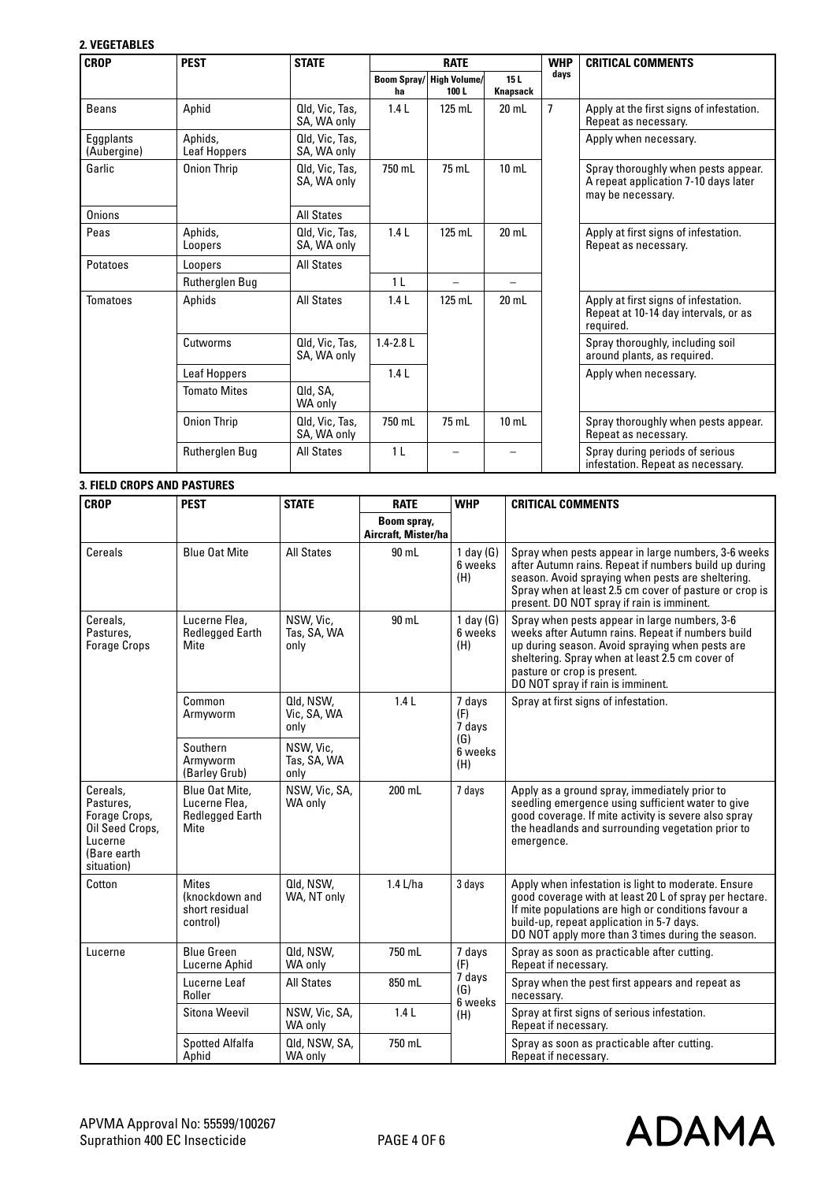## **2. VEGETABLES**

| <b>CROP</b>              | <b>PEST</b>             | <b>STATE</b>                  | <b>RATE</b>           |                     |                 | <b>WHP</b>     | <b>CRITICAL COMMENTS</b>                                                                         |
|--------------------------|-------------------------|-------------------------------|-----------------------|---------------------|-----------------|----------------|--------------------------------------------------------------------------------------------------|
|                          |                         |                               | <b>Boom Spray/</b>    | <b>High Volume/</b> | 15L             | days           |                                                                                                  |
|                          |                         |                               | ha                    | 100L                | <b>Knapsack</b> |                |                                                                                                  |
| <b>Beans</b>             | Aphid                   | Qld, Vic, Tas,<br>SA, WA only | 1.4L                  | $125$ mL            | $20$ mL         | $\overline{1}$ | Apply at the first signs of infestation.<br>Repeat as necessary.                                 |
| Eggplants<br>(Aubergine) | Aphids,<br>Leaf Hoppers | Qld, Vic, Tas,<br>SA, WA only |                       |                     |                 |                | Apply when necessary.                                                                            |
| Garlic                   | <b>Onion Thrip</b>      | Qld, Vic, Tas,<br>SA, WA only | 750 mL                | 75 mL               | $10$ mL         |                | Spray thoroughly when pests appear.<br>A repeat application 7-10 days later<br>may be necessary. |
| <b>Onions</b>            |                         | <b>All States</b>             |                       |                     |                 |                |                                                                                                  |
| Peas                     | Aphids,<br>Loopers      | Qld, Vic, Tas,<br>SA, WA only | 1.4L                  | $125$ mL            | $20$ mL         |                | Apply at first signs of infestation.<br>Repeat as necessary.                                     |
| Potatoes                 | Loopers                 | <b>All States</b>             |                       |                     |                 |                |                                                                                                  |
|                          | Rutherglen Bug          |                               | 1 <sub>L</sub>        | -                   |                 |                |                                                                                                  |
| Tomatoes                 | Aphids                  | <b>All States</b>             | 1.4L<br>$1.4 - 2.8$ L | $125$ mL            | $20$ mL         |                | Apply at first signs of infestation.<br>Repeat at 10-14 day intervals, or as<br>required.        |
|                          | Cutworms                | Qld, Vic, Tas,<br>SA, WA only |                       |                     |                 |                | Spray thoroughly, including soil<br>around plants, as required.                                  |
|                          | <b>Leaf Hoppers</b>     |                               | 1.4L                  |                     |                 |                | Apply when necessary.                                                                            |
|                          | <b>Tomato Mites</b>     | Qld, SA,<br>WA only           |                       |                     |                 |                |                                                                                                  |
|                          | <b>Onion Thrip</b>      | Qld, Vic, Tas,<br>SA, WA only | 750 mL                | 75 mL               | $10$ mL         |                | Spray thoroughly when pests appear.<br>Repeat as necessary.                                      |
|                          | Rutherglen Bug          | <b>All States</b>             | 1 <sub>L</sub>        |                     |                 |                | Spray during periods of serious<br>infestation. Repeat as necessary.                             |

## **3. FIELD CROPS AND PASTURES**

| <b>CROP</b>                                                                                       | <b>PEST</b>                                                       | <b>STATE</b>                     | <b>RATE</b>                        | <b>WHP</b>                      | <b>CRITICAL COMMENTS</b>                                                                                                                                                                                                                                                     |
|---------------------------------------------------------------------------------------------------|-------------------------------------------------------------------|----------------------------------|------------------------------------|---------------------------------|------------------------------------------------------------------------------------------------------------------------------------------------------------------------------------------------------------------------------------------------------------------------------|
|                                                                                                   |                                                                   |                                  | Boom spray,<br>Aircraft, Mister/ha |                                 |                                                                                                                                                                                                                                                                              |
| Cereals                                                                                           | <b>Blue Oat Mite</b>                                              | <b>All States</b>                | 90 mL                              | $1$ day $(G)$<br>6 weeks<br>(H) | Spray when pests appear in large numbers, 3-6 weeks<br>after Autumn rains. Repeat if numbers build up during<br>season. Avoid spraying when pests are sheltering.<br>Spray when at least 2.5 cm cover of pasture or crop is<br>present. DO NOT spray if rain is imminent.    |
| Cereals.<br>Pastures.<br><b>Forage Crops</b>                                                      | Lucerne Flea,<br><b>Redlegged Earth</b><br>Mite                   | NSW, Vic,<br>Tas, SA, WA<br>only | 90 mL                              | 1 day $(G)$<br>6 weeks<br>(H)   | Spray when pests appear in large numbers, 3-6<br>weeks after Autumn rains. Repeat if numbers build<br>up during season. Avoid spraying when pests are<br>sheltering. Spray when at least 2.5 cm cover of<br>pasture or crop is present.<br>DO NOT spray if rain is imminent. |
|                                                                                                   | Common<br>Armyworm                                                | Qld, NSW,<br>Vic, SA, WA<br>only | 1.4L                               | 7 days<br>(F)<br>7 days         | Spray at first signs of infestation.                                                                                                                                                                                                                                         |
| Southern<br>NSW, Vic,<br>Tas, SA, WA<br>Armvworm<br>(Barley Grub)<br>only                         |                                                                   |                                  | (G)<br>6 weeks<br>(H)              |                                 |                                                                                                                                                                                                                                                                              |
| Cereals.<br>Pastures.<br>Forage Crops,<br>Oil Seed Crops,<br>Lucerne<br>(Bare earth<br>situation) | Blue Oat Mite.<br>Lucerne Flea.<br><b>Redlegged Earth</b><br>Mite | NSW, Vic, SA,<br>WA only         | 200 mL                             | 7 days                          | Apply as a ground spray, immediately prior to<br>seedling emergence using sufficient water to give<br>good coverage. If mite activity is severe also spray<br>the headlands and surrounding vegetation prior to<br>emergence.                                                |
| Cotton                                                                                            | <b>Mites</b><br>(knockdown and<br>short residual<br>control)      | Qld, NSW,<br>WA, NT only         | 1.4 L/ha                           | 3 days                          | Apply when infestation is light to moderate. Ensure<br>good coverage with at least 20 L of spray per hectare.<br>If mite populations are high or conditions favour a<br>build-up, repeat application in 5-7 days.<br>DO NOT apply more than 3 times during the season.       |
| Lucerne                                                                                           | <b>Blue Green</b><br>Lucerne Aphid                                | Qld, NSW,<br>WA only             | 750 mL                             | 7 days<br>(F)                   | Spray as soon as practicable after cutting.<br>Repeat if necessary.                                                                                                                                                                                                          |
|                                                                                                   | Lucerne Leaf<br>Roller                                            | <b>All States</b>                | 850 mL                             | 7 days<br>(G)<br>6 weeks        | Spray when the pest first appears and repeat as<br>necessary.                                                                                                                                                                                                                |
|                                                                                                   | Sitona Weevil                                                     | NSW, Vic, SA,<br>WA only         | 1.4L                               | (H)                             | Spray at first signs of serious infestation.<br>Repeat if necessary.                                                                                                                                                                                                         |
|                                                                                                   | <b>Spotted Alfalfa</b><br>Aphid                                   | Qld, NSW, SA,<br>WA only         | 750 mL                             |                                 | Spray as soon as practicable after cutting.<br>Repeat if necessary.                                                                                                                                                                                                          |

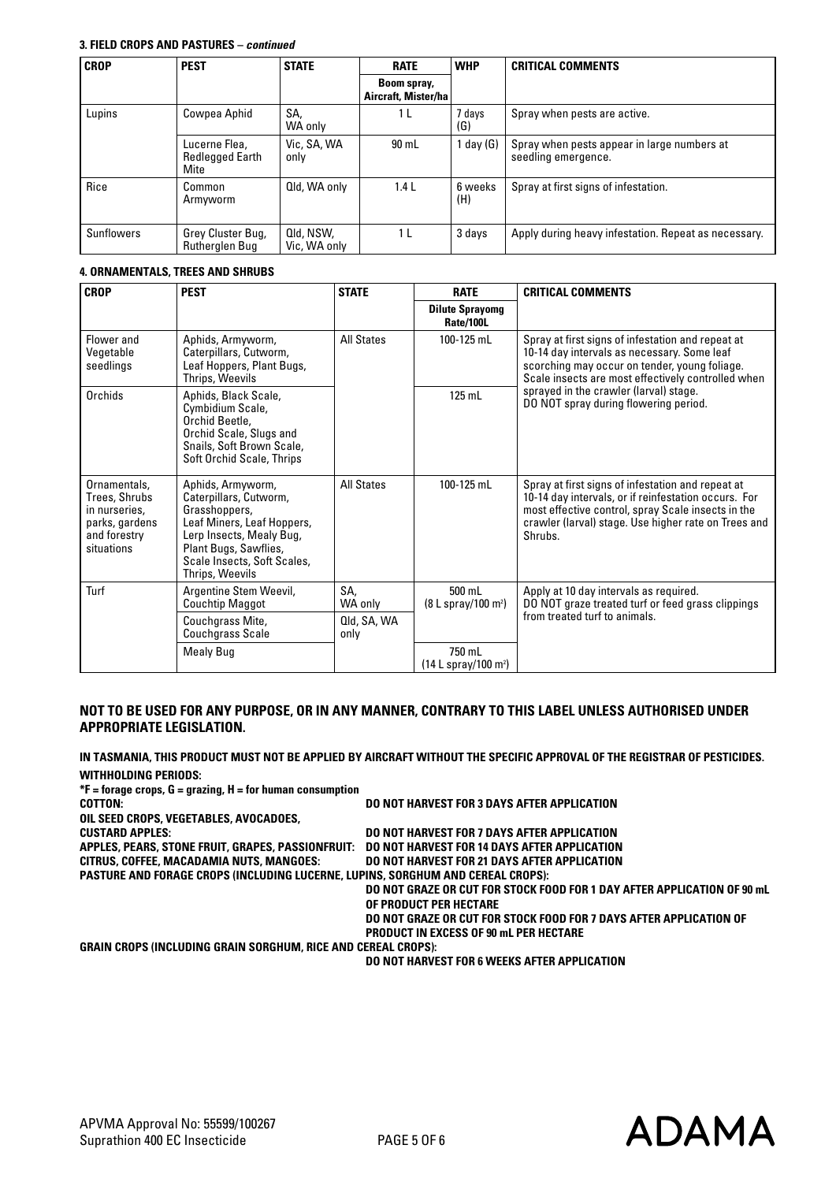## **3. FIELD CROPS AND PASTURES –** *continued*

| <b>CROP</b>       | <b>PEST</b>                                     | <b>STATE</b>              | <b>RATE</b>                        | <b>WHP</b>     | <b>CRITICAL COMMENTS</b>                                           |  |
|-------------------|-------------------------------------------------|---------------------------|------------------------------------|----------------|--------------------------------------------------------------------|--|
|                   |                                                 |                           | Boom spray,<br>Aircraft, Mister/ha |                |                                                                    |  |
| Lupins            | Cowpea Aphid                                    | SA.<br>WA only            | 1 <sub>L</sub>                     | 7 days<br>(G)  | Spray when pests are active.                                       |  |
|                   | Lucerne Flea,<br><b>Redlegged Earth</b><br>Mite | Vic, SA, WA<br>only       | 90 mL                              | 1 day $(G)$    | Spray when pests appear in large numbers at<br>seedling emergence. |  |
| Rice              | Common<br>Armyworm                              | Qld, WA only              | 1.4L                               | 6 weeks<br>(H) | Spray at first signs of infestation.                               |  |
| <b>Sunflowers</b> | Grey Cluster Bug,<br><b>Rutherglen Bug</b>      | Qld, NSW,<br>Vic. WA only | 1 <sub>L</sub>                     | 3 days         | Apply during heavy infestation. Repeat as necessary.               |  |

## **4. ORNAMENTALS, TREES AND SHRUBS**

| <b>CROP</b>                                                                                    | <b>PEST</b>                                                                                                                                                                                       | <b>STATE</b><br><b>RATE</b> |                                              | <b>CRITICAL COMMENTS</b>                                                                                                                                                                                                           |  |  |
|------------------------------------------------------------------------------------------------|---------------------------------------------------------------------------------------------------------------------------------------------------------------------------------------------------|-----------------------------|----------------------------------------------|------------------------------------------------------------------------------------------------------------------------------------------------------------------------------------------------------------------------------------|--|--|
|                                                                                                |                                                                                                                                                                                                   |                             | <b>Dilute Sprayomg</b><br><b>Rate/100L</b>   |                                                                                                                                                                                                                                    |  |  |
| Flower and<br>Vegetable<br>seedlings                                                           | Aphids, Armyworm,<br>Caterpillars, Cutworm,<br>Leaf Hoppers, Plant Bugs,<br>Thrips, Weevils                                                                                                       | <b>All States</b>           | 100-125 mL                                   | Spray at first signs of infestation and repeat at<br>10-14 day intervals as necessary. Some leaf<br>scorching may occur on tender, young foliage.<br>Scale insects are most effectively controlled when                            |  |  |
| Orchids                                                                                        | Aphids, Black Scale,<br>Cymbidium Scale,<br>Orchid Beetle.<br>Orchid Scale, Slugs and<br>Snails, Soft Brown Scale,<br>Soft Orchid Scale, Thrips                                                   |                             | $125$ mL                                     | sprayed in the crawler (larval) stage.<br>DO NOT spray during flowering period.                                                                                                                                                    |  |  |
| Ornamentals,<br>Trees, Shrubs<br>in nurseries,<br>parks, gardens<br>and forestry<br>situations | Aphids, Armyworm,<br>Caterpillars, Cutworm,<br>Grasshoppers,<br>Leaf Miners, Leaf Hoppers,<br>Lerp Insects, Mealy Bug,<br>Plant Bugs, Sawflies,<br>Scale Insects, Soft Scales,<br>Thrips, Weevils | <b>All States</b>           | 100-125 mL                                   | Spray at first signs of infestation and repeat at<br>10-14 day intervals, or if reinfestation occurs. For<br>most effective control, spray Scale insects in the<br>crawler (larval) stage. Use higher rate on Trees and<br>Shrubs. |  |  |
| Turf                                                                                           | SA,<br>Argentine Stem Weevil,<br><b>Couchtip Maggot</b><br>WA only                                                                                                                                |                             | 500 mL<br>$(8 L$ spray/100 m <sup>2</sup> )  | Apply at 10 day intervals as required.<br>DO NOT graze treated turf or feed grass clippings                                                                                                                                        |  |  |
|                                                                                                | Couchgrass Mite,<br><b>Couchgrass Scale</b>                                                                                                                                                       | Qld, SA, WA<br>only         |                                              | from treated turf to animals.                                                                                                                                                                                                      |  |  |
|                                                                                                | Mealy Bug                                                                                                                                                                                         |                             | 750 mL<br>$(14 L$ spray/100 m <sup>2</sup> ) |                                                                                                                                                                                                                                    |  |  |

## **NOT TO BE USED FOR ANY PURPOSE, OR IN ANY MANNER, CONTRARY TO THIS LABEL UNLESS AUTHORISED UNDER APPROPRIATE LEGISLATION.**

**IN TASMANIA, THIS PRODUCT MUST NOT BE APPLIED BY AIRCRAFT WITHOUT THE SPECIFIC APPROVAL OF THE REGISTRAR OF PESTICIDES. WITHHOLDING PERIODS:**

**\*F = forage crops, G = grazing, H = for human consumption Cotton: DO NOT HARVEST FOR 3 DAYS AFTER APPLICATION Oil Seed Crops, Vegetables, Avocadoes, Custard Apples: DO NOT HARVEST FOR 7 DAYS AFTER APPLICATION Apples, Pears, Stone Fruit, Grapes, Passionfruit: DO NOT HARVEST FOR 14 DAYS AFTER APPLICATION CITRUS, COFFEE, MACADAMIA NUTS, MANGOES: Pasture and Forage Crops (including Lucerne, Lupins, Sorghum and Cereal Crops): DO NOT GRAZE OR CUT FOR STOCK FOOD FOR 1 DAY AFTER APPLICATION OF 90 mL OF PRODUCT PER HECTARE DO NOT GRAZE OR CUT FOR STOCK FOOD FOR 7 DAYS AFTER APPLICATION OF** 

**PRODUCT IN EXCESS OF 90 mL PER HECTARE**

**Grain Crops (including Grain Sorghum, Rice and Cereal Crops):**

**DO NOT HARVEST FOR 6 WEEKS AFTER APPLICATION**